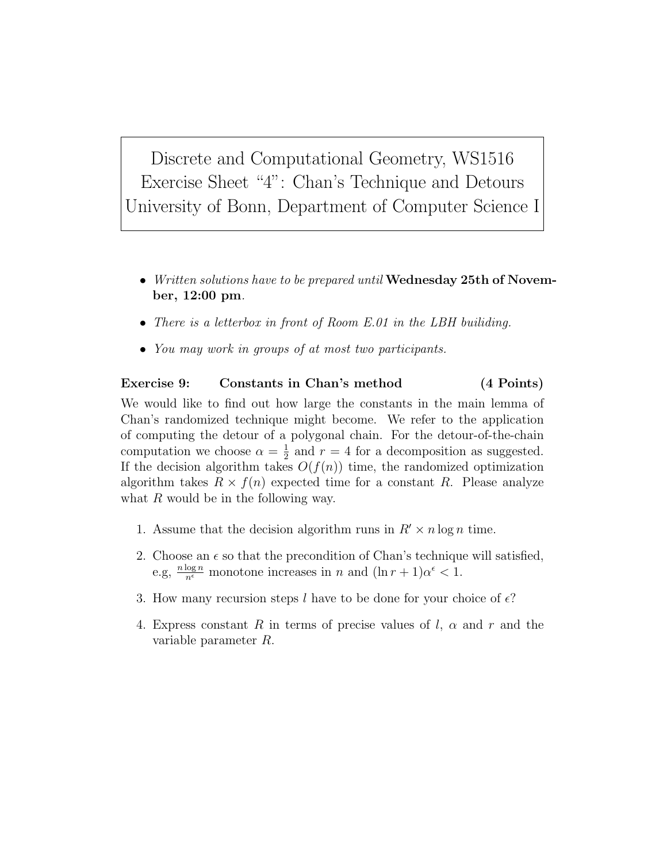Discrete and Computational Geometry, WS1516 Exercise Sheet "4": Chan's Technique and Detours University of Bonn, Department of Computer Science I

- Written solutions have to be prepared until Wednesday 25th of November, 12:00 pm.
- There is a letterbox in front of Room E.01 in the LBH builiding.
- You may work in groups of at most two participants.

## Exercise 9: Constants in Chan's method (4 Points)

We would like to find out how large the constants in the main lemma of Chan's randomized technique might become. We refer to the application of computing the detour of a polygonal chain. For the detour-of-the-chain computation we choose  $\alpha = \frac{1}{2}$  $\frac{1}{2}$  and  $r = 4$  for a decomposition as suggested. If the decision algorithm takes  $O(f(n))$  time, the randomized optimization algorithm takes  $R \times f(n)$  expected time for a constant R. Please analyze what  $R$  would be in the following way.

- 1. Assume that the decision algorithm runs in  $R' \times n \log n$  time.
- 2. Choose an  $\epsilon$  so that the precondition of Chan's technique will satisfied, e.g,  $\frac{n \log n}{n^{\epsilon}}$  monotone increases in n and  $(\ln r + 1)\alpha^{\epsilon} < 1$ .
- 3. How many recursion steps l have to be done for your choice of  $\epsilon$ ?
- 4. Express constant R in terms of precise values of  $l, \alpha$  and r and the variable parameter R.